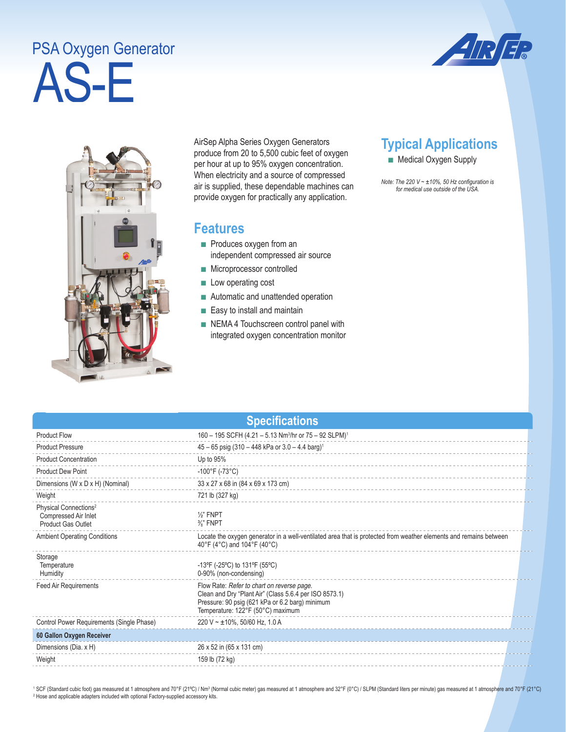## AS-E PSA Oxygen Generator





AirSep Alpha Series Oxygen Generators produce from 20 to 5,500 cubic feet of oxygen per hour at up to 95% oxygen concentration. When electricity and a source of compressed air is supplied, these dependable machines can provide oxygen for practically any application.

## **Features**

- Produces oxygen from an independent compressed air source
- Microprocessor controlled
- Low operating cost
- Automatic and unattended operation
- Easy to install and maintain
- NEMA 4 Touchscreen control panel with integrated oxygen concentration monitor

## **Typical Applications**

■ Medical Oxygen Supply

*Note: The 220 V ~ ±10%, 50 Hz configuration is for medical use outside of the USA.* 

|  |  | <b>Specifications</b> |  |
|--|--|-----------------------|--|
|  |  |                       |  |

| <b>Product Flow</b>                                                                    | 160 - 195 SCFH (4.21 - 5.13 Nm <sup>3</sup> /hr or 75 - 92 SLPM) <sup>1</sup>                                                                                                                |  |  |
|----------------------------------------------------------------------------------------|----------------------------------------------------------------------------------------------------------------------------------------------------------------------------------------------|--|--|
| <b>Product Pressure</b>                                                                | $45 - 65$ psig (310 - 448 kPa or 3.0 - 4.4 barg) <sup>1</sup>                                                                                                                                |  |  |
| <b>Product Concentration</b>                                                           | Up to 95%                                                                                                                                                                                    |  |  |
| <b>Product Dew Point</b>                                                               | $-100^{\circ}$ F (-73°C)                                                                                                                                                                     |  |  |
| Dimensions (W x D x H) (Nominal)                                                       | 33 x 27 x 68 in (84 x 69 x 173 cm)                                                                                                                                                           |  |  |
| Weight                                                                                 | 721 lb (327 kg)                                                                                                                                                                              |  |  |
| Physical Connections <sup>2</sup><br>Compressed Air Inlet<br><b>Product Gas Outlet</b> | $\frac{1}{2}$ " FNPT<br>$\frac{3}{8}$ " FNPT                                                                                                                                                 |  |  |
| <b>Ambient Operating Conditions</b>                                                    | Locate the oxygen generator in a well-ventilated area that is protected from weather elements and remains between<br>40°F (4°C) and 104°F (40°C)                                             |  |  |
| Storage<br>Temperature<br>Humidity                                                     | -13°F (-25°C) to 131°F (55°C)<br>0-90% (non-condensing)                                                                                                                                      |  |  |
| Feed Air Requirements                                                                  | Flow Rate: Refer to chart on reverse page.<br>Clean and Dry "Plant Air" (Class 5.6.4 per ISO 8573.1)<br>Pressure: 90 psig (621 kPa or 6.2 barg) minimum<br>Temperature: 122°F (50°C) maximum |  |  |
| Control Power Requirements (Single Phase)                                              | 220 V ~ $\pm$ 10%, 50/60 Hz, 1.0 A                                                                                                                                                           |  |  |
| 60 Gallon Oxygen Receiver                                                              |                                                                                                                                                                                              |  |  |
| Dimensions (Dia. x H)                                                                  | 26 x 52 in (65 x 131 cm)                                                                                                                                                                     |  |  |
| Weight                                                                                 | 159 lb (72 kg)                                                                                                                                                                               |  |  |
|                                                                                        |                                                                                                                                                                                              |  |  |

<sup>1</sup> SCF (Standard cubic foot) gas measured at 1 atmosphere and 70°F (21°C) / Nm<sup>3</sup> (Normal cubic meter) gas measured at 1 atmosphere and 32°F (0°C) / SLPM (Standard liters per minute) gas measured at 1 atmosphere and 70°F <sup>2</sup> Hose and applicable adapters included with optional Factory-supplied accessory kits.